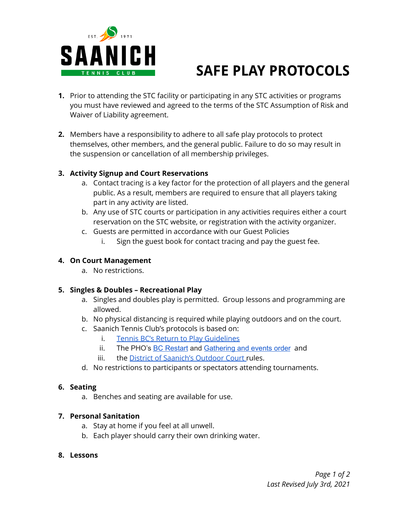

# **SAFE PLAY PROTOCOLS**

- **1.** Prior to attending the STC facility or participating in any STC activities or programs you must have reviewed and agreed to the terms of the STC Assumption of Risk and Waiver of Liability agreement.
- **2.** Members have a responsibility to adhere to all safe play protocols to protect themselves, other members, and the general public. Failure to do so may result in the suspension or cancellation of all membership privileges.

#### **3. Activity Signup and Court Reservations**

- a. Contact tracing is a key factor for the protection of all players and the general public. As a result, members are required to ensure that all players taking part in any activity are listed.
- b. Any use of STC courts or participation in any activities requires either a court reservation on the STC website, or registration with the activity organizer.
- c. Guests are permitted in accordance with our Guest Policies
	- i. Sign the guest book for contact tracing and pay the guest fee.

## **4. On Court Management**

a. No restrictions.

# **5. Singles & Doubles – Recreational Play**

- a. Singles and doubles play is permitted. Group lessons and programming are allowed.
- b. No physical distancing is required while playing outdoors and on the court.
- c. Saanich Tennis Club's protocols is based on:
	- i. Tennis BC's Return to Play [Guidelines](http://www.tennisbc.org/wp-content/uploads/2021/07/TENNIS_BC_Return_to_Play_Guidelines_July-1_2021.pdf)
	- ii. The PHO's BC [Restart](https://www2.gov.bc.ca/gov/content/covid-19/info/restart) and [Gathering](https://www2.gov.bc.ca/assets/gov/health/about-bc-s-health-care-system/office-of-the-provincial-health-officer/covid-19/covid-19-pho-order-gatherings-events.pdf) and events order and
	- iii. the District of [Saanich's](https://www.saanich.ca/EN/main/parks-recreation-community/parks.html) Outdoor Court rules.
- d. No restrictions to participants or spectators attending tournaments.

#### **6. Seating**

a. Benches and seating are available for use.

# **7. Personal Sanitation**

- a. Stay at home if you feel at all unwell.
- b. Each player should carry their own drinking water.

#### **8. Lessons**